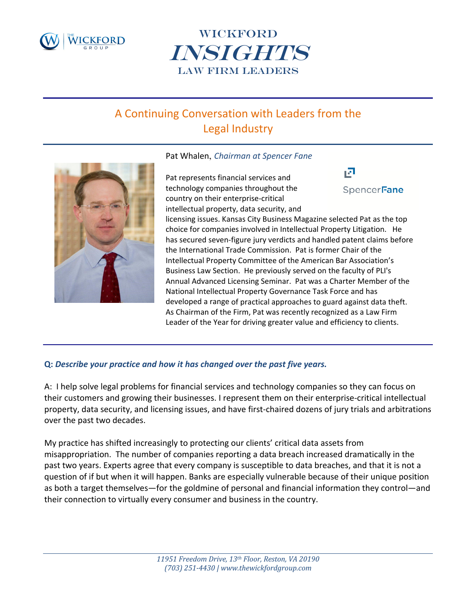



# A Continuing Conversation with Leaders from the Legal Industry

#### Pat Whalen, *Chairman at Spencer Fane*

ıЛ Pat represents financial services and technology companies throughout the SpencerFane country on their enterprise‐critical intellectual property, data security, and licensing issues. Kansas City Business Magazine selected Pat as the top choice for companies involved in Intellectual Property Litigation. He has secured seven-figure jury verdicts and handled patent claims before the International Trade Commission. Pat is former Chair of the Intellectual Property Committee of the American Bar Association's Business Law Section. He previously served on the faculty of PLI's Annual Advanced Licensing Seminar. Pat was a Charter Member of the National Intellectual Property Governance Task Force and has developed a range of practical approaches to guard against data theft. As Chairman of the Firm, Pat was recently recognized as a Law Firm Leader of the Year for driving greater value and efficiency to clients.

### **Q:** *Describe your practice and how it has changed over the past five years.*

A: I help solve legal problems for financial services and technology companies so they can focus on their customers and growing their businesses. I represent them on their enterprise‐critical intellectual property, data security, and licensing issues, and have first‐chaired dozens of jury trials and arbitrations over the past two decades.

My practice has shifted increasingly to protecting our clients' critical data assets from misappropriation. The number of companies reporting a data breach increased dramatically in the past two years. Experts agree that every company is susceptible to data breaches, and that it is not a question of if but when it will happen. Banks are especially vulnerable because of their unique position as both a target themselves—for the goldmine of personal and financial information they control—and their connection to virtually every consumer and business in the country.